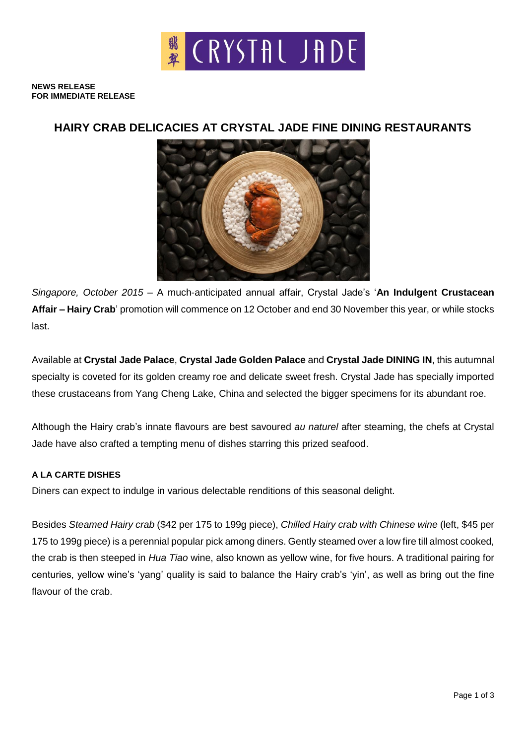

**NEWS RELEASE FOR IMMEDIATE RELEASE**

## **HAIRY CRAB DELICACIES AT CRYSTAL JADE FINE DINING RESTAURANTS**



*Singapore, October 2015* – A much-anticipated annual affair, Crystal Jade's '**An Indulgent Crustacean Affair – Hairy Crab**' promotion will commence on 12 October and end 30 November this year, or while stocks last.

Available at **Crystal Jade Palace**, **Crystal Jade Golden Palace** and **Crystal Jade DINING IN**, this autumnal specialty is coveted for its golden creamy roe and delicate sweet fresh. Crystal Jade has specially imported these crustaceans from Yang Cheng Lake, China and selected the bigger specimens for its abundant roe.

Although the Hairy crab's innate flavours are best savoured *au naturel* after steaming, the chefs at Crystal Jade have also crafted a tempting menu of dishes starring this prized seafood.

### **A LA CARTE DISHES**

Diners can expect to indulge in various delectable renditions of this seasonal delight.

Besides *Steamed Hairy crab* (\$42 per 175 to 199g piece), *Chilled Hairy crab with Chinese wine* (left, \$45 per 175 to 199g piece) is a perennial popular pick among diners. Gently steamed over a low fire till almost cooked, the crab is then steeped in *Hua Tiao* wine, also known as yellow wine, for five hours. A traditional pairing for centuries, yellow wine's 'yang' quality is said to balance the Hairy crab's 'yin', as well as bring out the fine flavour of the crab.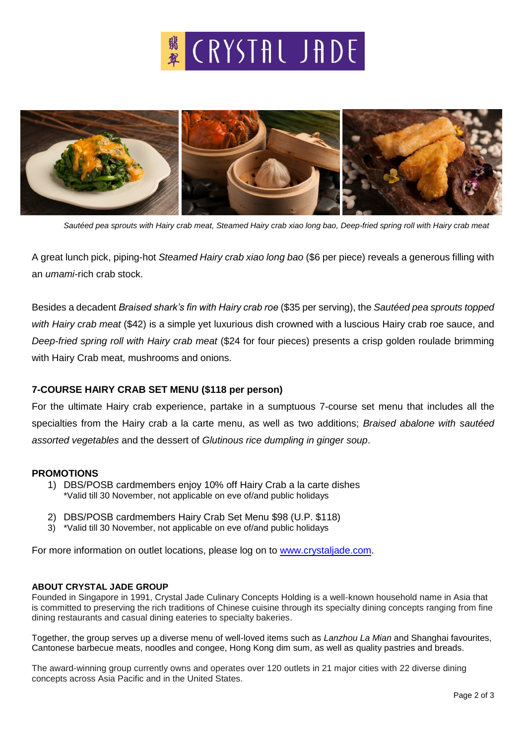# **\*** CRYSTAL JADE



*Sautéed pea sprouts with Hairy crab meat, Steamed Hairy crab xiao long bao, Deep-fried spring roll with Hairy crab meat*

A great lunch pick, piping-hot *Steamed Hairy crab xiao long bao* (\$6 per piece) reveals a generous filling with an *umami-*rich crab stock.

Besides a decadent *Braised shark's fin with Hairy crab roe* (\$35 per serving), the *Sautéed pea sprouts topped with Hairy crab meat* (\$42) is a simple yet luxurious dish crowned with a luscious Hairy crab roe sauce, and *Deep-fried spring roll with Hairy crab meat* (\$24 for four pieces) presents a crisp golden roulade brimming with Hairy Crab meat, mushrooms and onions.

## **7-COURSE HAIRY CRAB SET MENU (\$118 per person)**

For the ultimate Hairy crab experience, partake in a sumptuous 7-course set menu that includes all the specialties from the Hairy crab a la carte menu, as well as two additions; *Braised abalone with sautéed assorted vegetables* and the dessert of *Glutinous rice dumpling in ginger soup*.

#### **PROMOTIONS**

- 1) DBS/POSB cardmembers enjoy 10% off Hairy Crab a la carte dishes \*Valid till 30 November, not applicable on eve of/and public holidays
- 2) DBS/POSB cardmembers Hairy Crab Set Menu \$98 (U.P. \$118)
- 3) \*Valid till 30 November, not applicable on eve of/and public holidays

For more information on outlet locations, please log on to [www.crystaljade.com.](http://www.crystaljade.com/)

#### **ABOUT CRYSTAL JADE GROUP**

Founded in Singapore in 1991, Crystal Jade Culinary Concepts Holding is a well-known household name in Asia that is committed to preserving the rich traditions of Chinese cuisine through its specialty dining concepts ranging from fine dining restaurants and casual dining eateries to specialty bakeries.

Together, the group serves up a diverse menu of well-loved items such as *Lanzhou La Mian* and Shanghai favourites, Cantonese barbecue meats, noodles and congee, Hong Kong dim sum, as well as quality pastries and breads.

The award-winning group currently owns and operates over 120 outlets in 21 major cities with 22 diverse dining concepts across Asia Pacific and in the United States.